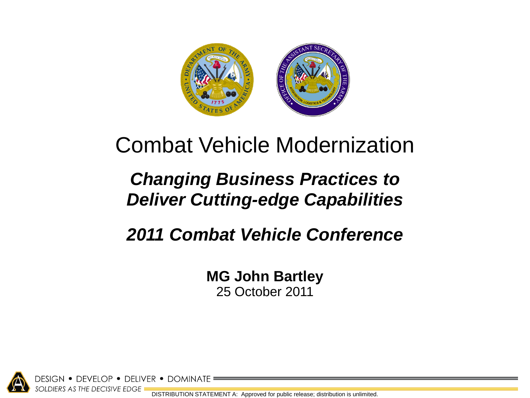

# Combat Vehicle Modernization

# *Changing Business Practices to Deliver Cutting-edge Capabilities*

# *2011 Combat Vehicle Conference*

**MG John Bartley** 25 October 2011

• DEVELOP • DELIVER • DOMINATE SOLDIERS AS THE DECISIVE EDGE

DISTRIBUTION STATEMENT A: Approved for public release; distribution is unlimited.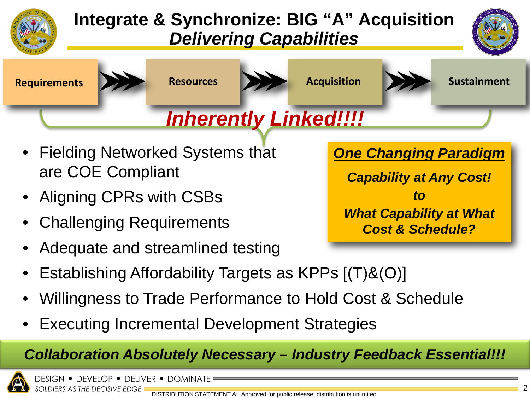

# **Integrate & Synchronize: BIG "A" Acquisition** *Delivering Capabilities*





- Fielding Networked Systems that are COE Compliant
- Aligning CPRs with CSBs
- Challenging Requirements
- Adequate and streamlined testing
- Establishing Affordability Targets as KPPs [(T)&(O)]
- Willingness to Trade Performance to Hold Cost & Schedule
- Executing Incremental Development Strategies

## *Collaboration Absolutely Necessary – Industry Feedback Essential!!!*



design • develop • deliver • dominate SOLDIERS AS THE DECISIVE EDGE

*One Changing Paradigm*

*Capability at Any Cost! to What Capability at What Cost & Schedule?*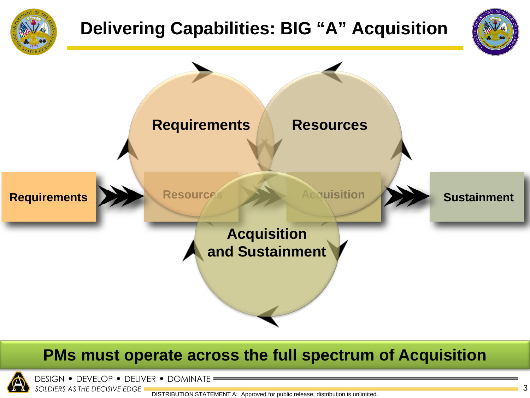

# **Delivering Capabilities: BIG "A" Acquisition**





## **PMs must operate across the full spectrum of Acquisition**



DESIGN . DEVELOP . DELIVER . DOMINATE SOLDIERS AS THE DECISIVE EDGE

DISTRIBUTION STATEMENT A: Approved for public release; distribution is unlimited.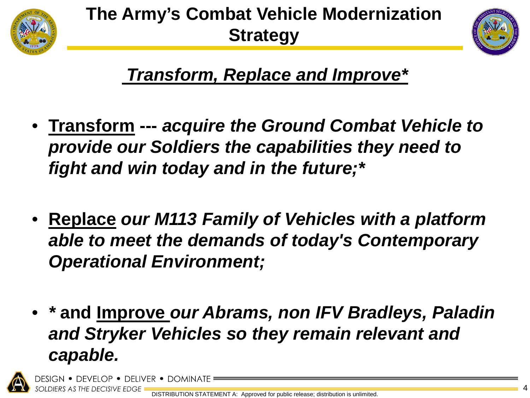

# **The Army's Combat Vehicle Modernization Strategy**



*Transform, Replace and Improve\** 

- **Transform ---** *acquire the Ground Combat Vehicle to provide our Soldiers the capabilities they need to fight and win today and in the future;\**
- **Replace** *our M113 Family of Vehicles with a platform able to meet the demands of today's Contemporary Operational Environment;*
- *\** **and Improve** *our Abrams, non IFV Bradleys, Paladin and Stryker Vehicles so they remain relevant and capable.*

′Elop • deliver •

DIERS AS THE DECISIVE EDGE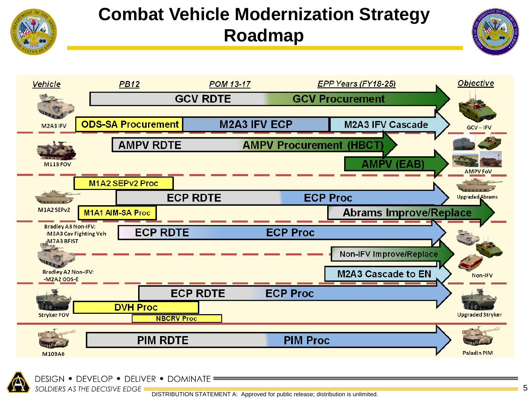

# **Combat Vehicle Modernization Strategy Roadmap**







SOLDIERS AS THE DECISIVE EDGE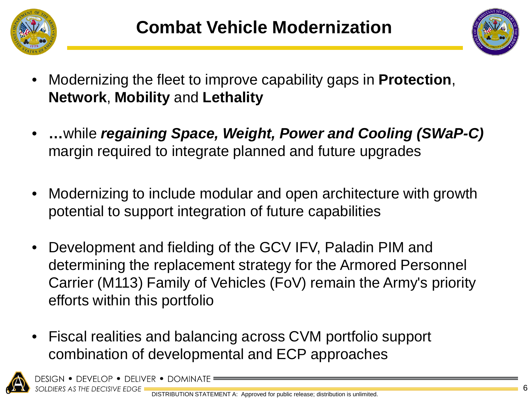



- Modernizing the fleet to improve capability gaps in **Protection**, **Network**, **Mobility** and **Lethality**
- **…**while *regaining Space, Weight, Power and Cooling (SWaP-C)*  margin required to integrate planned and future upgrades
- Modernizing to include modular and open architecture with growth potential to support integration of future capabilities
- Development and fielding of the GCV IFV, Paladin PIM and determining the replacement strategy for the Armored Personnel Carrier (M113) Family of Vehicles (FoV) remain the Army's priority efforts within this portfolio
- Fiscal realities and balancing across CVM portfolio support combination of developmental and ECP approaches



DESIGN • DEVELOP • DELIVER • DOMIN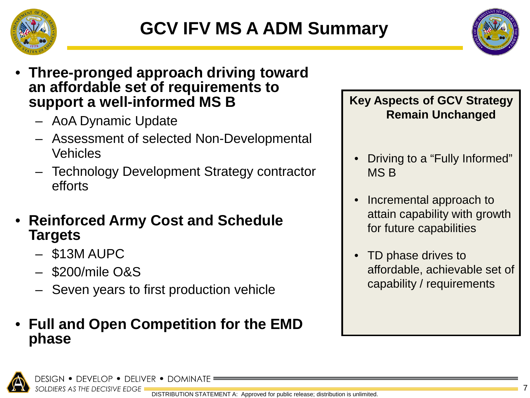



### • **Three-pronged approach driving toward an affordable set of requirements to support a well-informed MS B**

- AoA Dynamic Update
- Assessment of selected Non-Developmental Vehicles
- Technology Development Strategy contractor efforts
- **Reinforced Army Cost and Schedule Targets**
	- \$13M AUPC
	- \$200/mile O&S
	- Seven years to first production vehicle

### • **Full and Open Competition for the EMD phase**

**Key Aspects of GCV Strategy Remain Unchanged**

- Driving to a "Fully Informed" MS B
- Incremental approach to attain capability with growth for future capabilities
- TD phase drives to affordable, achievable set of capability / requirements

design • develop • deliver • dominate SOLDIERS AS THE DECISIVE EDGE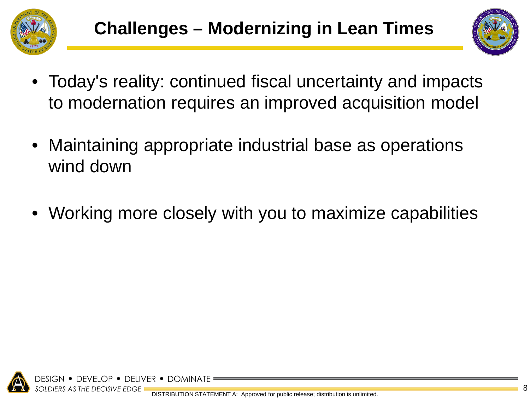



- Today's reality: continued fiscal uncertainty and impacts to modernation requires an improved acquisition model
- Maintaining appropriate industrial base as operations wind down
- Working more closely with you to maximize capabilities